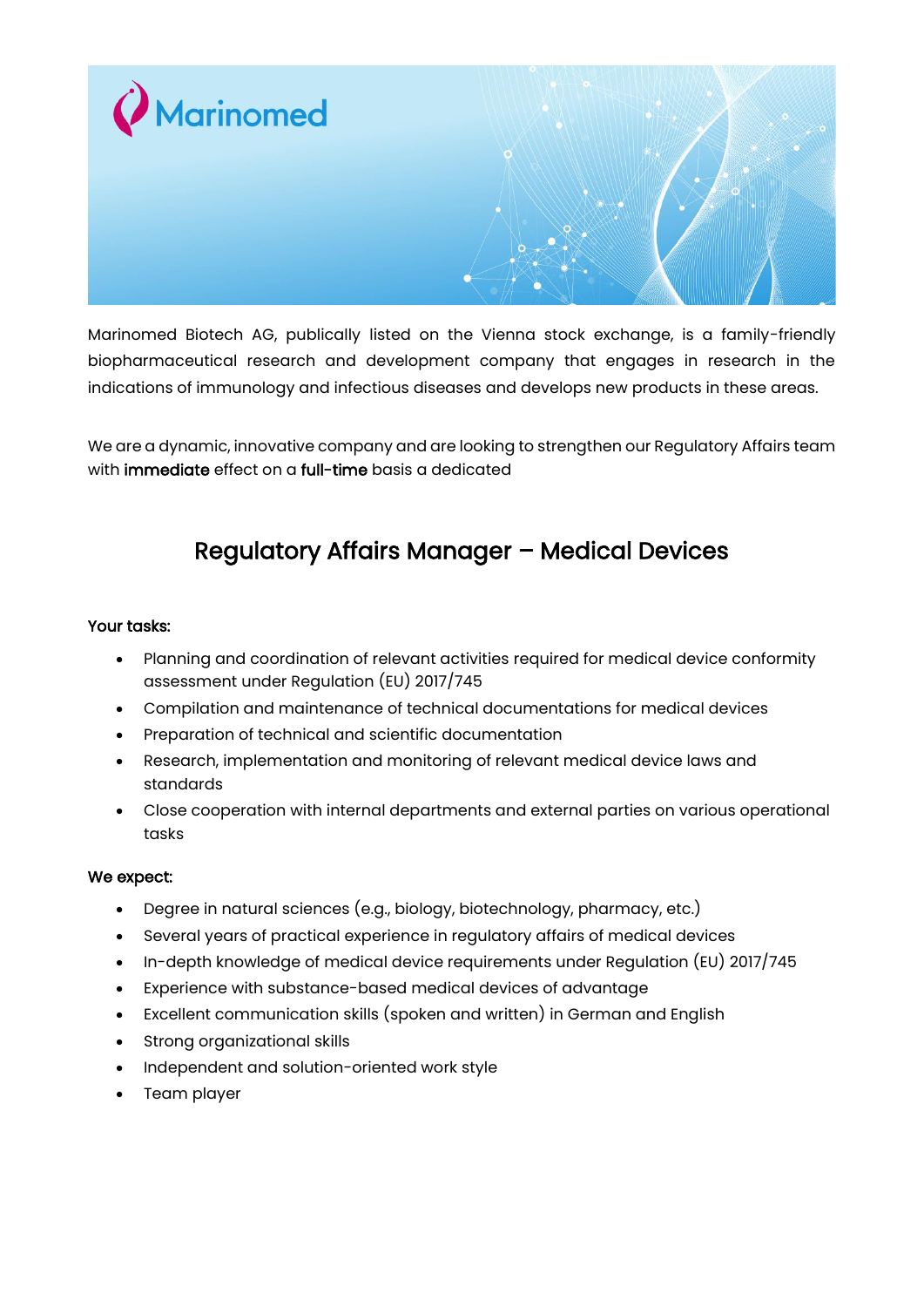

Marinomed Biotech AG, publically listed on the Vienna stock exchange, is a family-friendly biopharmaceutical research and development company that engages in research in the indications of immunology and infectious diseases and develops new products in these areas.

We are a dynamic, innovative company and are looking to strengthen our Regulatory Affairs team with **immediate** effect on a **full-time** basis a dedicated

## Regulatory Affairs Manager – Medical Devices

## Your tasks:

- Planning and coordination of relevant activities required for medical device conformity assessment under Regulation (EU) 2017/745
- Compilation and maintenance of technical documentations for medical devices
- Preparation of technical and scientific documentation
- Research, implementation and monitoring of relevant medical device laws and standards
- Close cooperation with internal departments and external parties on various operational tasks

## We expect:

- Degree in natural sciences (e.g., biology, biotechnology, pharmacy, etc.)
- Several years of practical experience in regulatory affairs of medical devices
- In-depth knowledge of medical device requirements under Regulation (EU) 2017/745
- Experience with substance-based medical devices of advantage
- Excellent communication skills (spoken and written) in German and English
- Strong organizational skills
- Independent and solution-oriented work style
- Team player